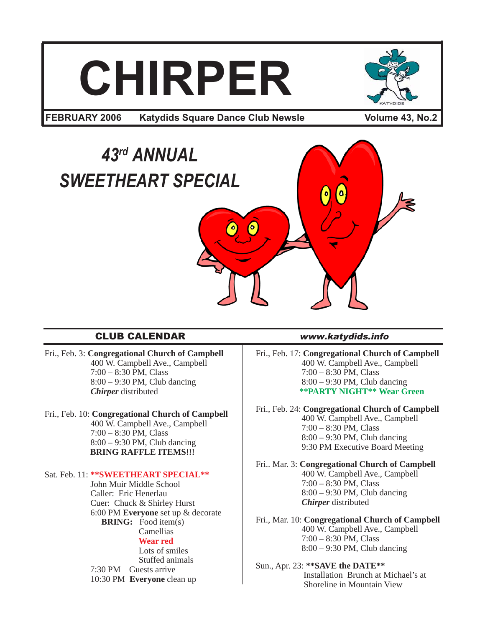# **CHIRPER**



**FEBRUARY 2006 Katydids Square Dance Club Newsle Volume 43, No.2** 

# *43rd ANNUAL SWEETHEART SPECIAL*

# CLUB CALENDAR www.katydids.info

- Fri., Feb. 3: **Congregational Church of Campbell** 400 W. Campbell Ave., Campbell 7:00 – 8:30 PM, Class 8:00 – 9:30 PM, Club dancing *Chirper* distributed
- Fri., Feb. 10: **Congregational Church of Campbell** 400 W. Campbell Ave., Campbell 7:00 – 8:30 PM, Class 8:00 – 9:30 PM, Club dancing **BRING RAFFLE ITEMS!!!**

# Sat. Feb. 11: **\*\*SWEETHEART SPECIAL\*\***

 John Muir Middle School Caller: Eric Henerlau Cuer: Chuck & Shirley Hurst 6:00 PM **Everyone** set up & decorate **BRING:** Food item(s) Camellias  **Wear red** Lots of smiles

 Stuffed animals 7:30 PM Guests arrive 10:30 PM **Everyone** clean up

Fri., Feb. 17: **Congregational Church of Campbell** 400 W. Campbell Ave., Campbell 7:00 – 8:30 PM, Class 8:00 – 9:30 PM, Club dancing **\*\*PARTY NIGHT\*\* Wear Green**

Fri., Feb. 24: **Congregational Church of Campbell** 400 W. Campbell Ave., Campbell 7:00 – 8:30 PM, Class 8:00 – 9:30 PM, Club dancing 9:30 PM Executive Board Meeting

Fri.. Mar. 3: **Congregational Church of Campbell** 400 W. Campbell Ave., Campbell 7:00 – 8:30 PM, Class 8:00 – 9:30 PM, Club dancing *Chirper* distributed

Fri., Mar. 10: **Congregational Church of Campbell** 400 W. Campbell Ave., Campbell 7:00 – 8:30 PM, Class 8:00 – 9:30 PM, Club dancing

# Sun., Apr. 23: **\*\*SAVE the DATE\*\*** Installation Brunch at Michael's at Shoreline in Mountain View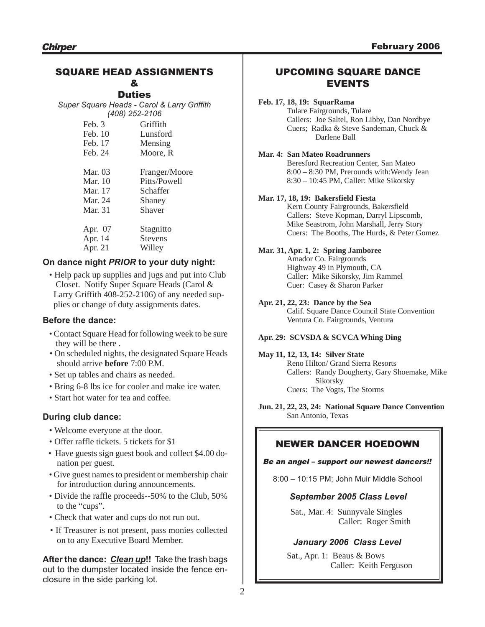# SQUARE HEAD ASSIGNMENTS

# &

**Duties** *Super Square Heads - Carol & Larry Griffith (408) 252-2106*

| Feb. 3  | Griffith       |
|---------|----------------|
| Feb. 10 | Lunsford       |
| Feb. 17 | Mensing        |
| Feb. 24 | Moore, R       |
| Mar. 03 | Franger/Moore  |
| Mar. 10 | Pitts/Powell   |
| Mar. 17 | Schaffer       |
| Mar. 24 | Shaney         |
| Mar. 31 | Shaver         |
| Apr. 07 | Stagnitto      |
| Apr. 14 | <b>Stevens</b> |
| Apr. 21 | Willey         |
|         |                |

# **On dance night** *PRIOR* **to your duty night:**

• Help pack up supplies and jugs and put into Club Closet. Notify Super Square Heads (Carol & Larry Griffith 408-252-2106) of any needed sup plies or change of duty assignments dates.

# **Before the dance:**

- Contact Square Head for following week to be sure they will be there .
- On scheduled nights, the designated Square Heads should arrive **before** 7:00 P.M.
- Set up tables and chairs as needed.
- Bring 6-8 lbs ice for cooler and make ice water.
- Start hot water for tea and coffee.

# **During club dance:**

- Welcome everyone at the door.
- Offer raffle tickets. 5 tickets for \$1
- Have guests sign guest book and collect \$4.00 donation per guest.
- Give guest names to president or membership chair for introduction during announcements.
- Divide the raffle proceeds--50% to the Club, 50% to the "cups".
- Check that water and cups do not run out.
- If Treasurer is not present, pass monies collected on to any Executive Board Member.

**After the dance:** *Clean up***!!** Take the trash bags out to the dumpster located inside the fence enclosure in the side parking lot.

# UPCOMING SQUARE DANCE EVENTS

# **Feb. 17, 18, 19: SquarRama**

Tulare Fairgrounds, Tulare Callers: Joe Saltel, Ron Libby, Dan Nordbye Cuers; Radka & Steve Sandeman, Chuck & Darlene Ball

### **Mar. 4: San Mateo Roadrunners**

Beresford Recreation Center, San Mateo 8:00 – 8:30 PM, Prerounds with:Wendy Jean 8:30 – 10:45 PM, Caller: Mike Sikorsky

### **Mar. 17, 18, 19: Bakersfield Fiesta**

Kern County Fairgrounds, Bakersfield Callers: Steve Kopman, Darryl Lipscomb, Mike Seastrom, John Marshall, Jerry Story Cuers: The Booths, The Hurds, & Peter Gomez

### **Mar. 31, Apr. 1, 2: Spring Jamboree**

Amador Co. Fairgrounds Highway 49 in Plymouth, CA Caller: Mike Sikorsky, Jim Rammel Cuer: Casey & Sharon Parker

### **Apr. 21, 22, 23: Dance by the Sea**

Calif. Square Dance Council State Convention Ventura Co. Fairgrounds, Ventura

### **Apr. 29: SCVSDA & SCVCA Whing Ding**

### **May 11, 12, 13, 14: Silver State** Reno Hilton/ Grand Sierra Resorts

Callers: Randy Dougherty, Gary Shoemake, Mike Sikorsky Cuers: The Vogts, The Storms

**Jun. 21, 22, 23, 24: National Square Dance Convention** San Antonio, Texas

# NEWER DANCER HOEDOWN

### Be an angel – support our newest dancers!!

8:00 – 10:15 PM; John Muir Middle School

# *September 2005 Class Level*

Sat., Mar. 4: Sunnyvale Singles Caller: Roger Smith

# *January 2006 Class Level*

Sat., Apr. 1: Beaus & Bows Caller: Keith Ferguson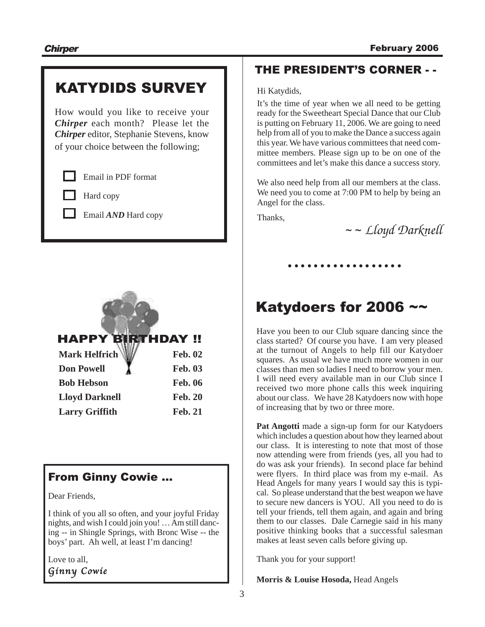# KATYDIDS SURVEY

How would you like to receive your *Chirper* each month? Please let the *Chirper* editor, Stephanie Stevens, know of your choice between the following;

Email in PDF format

Hard copy

Email *AND* Hard copy



| <b>NEXTE EXECUTED</b> | Fed. VZ        |
|-----------------------|----------------|
| <b>Don Powell</b>     | <b>Feb. 03</b> |
| <b>Bob Hebson</b>     | <b>Feb. 06</b> |
| <b>Lloyd Darknell</b> | <b>Feb. 20</b> |
| <b>Larry Griffith</b> | <b>Feb. 21</b> |

# From Ginny Cowie …

Dear Friends,

I think of you all so often, and your joyful Friday nights, and wish I could join you! … Am still dancing -- in Shingle Springs, with Bronc Wise -- the boys' part. Ah well, at least I'm dancing!

Love to all,

Ginny Cowie

# THE PRESIDENT'S CORNER - -

Hi Katydids,

It's the time of year when we all need to be getting ready for the Sweetheart Special Dance that our Club is putting on February 11, 2006. We are going to need help from all of you to make the Dance a success again this year. We have various committees that need committee members. Please sign up to be on one of the committees and let's make this dance a success story.

We also need help from all our members at the class. We need you to come at 7:00 PM to help by being an Angel for the class.

Thanks,

~ ~ *Lloyd Darknell*

# Katydoers for 2006 ~~

○○○○○○○○○○ ○○○○○○○○

Have you been to our Club square dancing since the class started? Of course you have. I am very pleased at the turnout of Angels to help fill our Katydoer squares. As usual we have much more women in our classes than men so ladies I need to borrow your men. I will need every available man in our Club since I received two more phone calls this week inquiring about our class. We have 28 Katydoers now with hope of increasing that by two or three more.

**Pat Angotti** made a sign-up form for our Katydoers which includes a question about how they learned about our class. It is interesting to note that most of those now attending were from friends (yes, all you had to do was ask your friends). In second place far behind were flyers. In third place was from my e-mail. As Head Angels for many years I would say this is typical. So please understand that the best weapon we have to secure new dancers is YOU. All you need to do is tell your friends, tell them again, and again and bring them to our classes. Dale Carnegie said in his many positive thinking books that a successful salesman makes at least seven calls before giving up.

Thank you for your support!

**Morris & Louise Hosoda,** Head Angels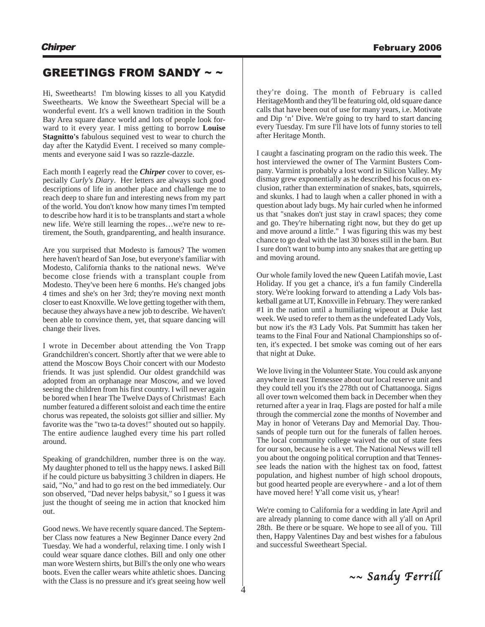# GREETINGS FROM SANDY ~ ~

Hi, Sweethearts! I'm blowing kisses to all you Katydid Sweethearts. We know the Sweetheart Special will be a wonderful event. It's a well known tradition in the South Bay Area square dance world and lots of people look forward to it every year. I miss getting to borrow **Louise Stagnitto's** fabulous sequined vest to wear to church the day after the Katydid Event. I received so many complements and everyone said I was so razzle-dazzle.

Each month I eagerly read the *Chirper* cover to cover, especially *Curly's Diary*. Her letters are always such good descriptions of life in another place and challenge me to reach deep to share fun and interesting news from my part of the world. You don't know how many times I'm tempted to describe how hard it is to be transplants and start a whole new life. We're still learning the ropes…we're new to retirement, the South, grandparenting, and health insurance.

Are you surprised that Modesto is famous? The women here haven't heard of San Jose, but everyone's familiar with Modesto, California thanks to the national news. We've become close friends with a transplant couple from Modesto. They've been here 6 months. He's changed jobs 4 times and she's on her 3rd; they're moving next month closer to east Knoxville. We love getting together with them, because they always have a new job to describe. We haven't been able to convince them, yet, that square dancing will change their lives.

I wrote in December about attending the Von Trapp Grandchildren's concert. Shortly after that we were able to attend the Moscow Boys Choir concert with our Modesto friends. It was just splendid. Our oldest grandchild was adopted from an orphanage near Moscow, and we loved seeing the children from his first country. I will never again be bored when I hear The Twelve Days of Christmas! Each number featured a different soloist and each time the entire chorus was repeated, the soloists got sillier and sillier. My favorite was the "two ta-ta doves!" shouted out so happily. The entire audience laughed every time his part rolled around.

Speaking of grandchildren, number three is on the way. My daughter phoned to tell us the happy news. I asked Bill if he could picture us babysitting 3 children in diapers. He said, "No," and had to go rest on the bed immediately. Our son observed, "Dad never helps babysit," so I guess it was just the thought of seeing me in action that knocked him out.

Good news. We have recently square danced. The September Class now features a New Beginner Dance every 2nd Tuesday. We had a wonderful, relaxing time. I only wish I could wear square dance clothes. Bill and only one other man wore Western shirts, but Bill's the only one who wears boots. Even the caller wears white athletic shoes. Dancing with the Class is no pressure and it's great seeing how well

they're doing. The month of February is called HeritageMonth and they'll be featuring old, old square dance calls that have been out of use for many years, i.e. Motivate and Dip 'n' Dive. We're going to try hard to start dancing every Tuesday. I'm sure I'll have lots of funny stories to tell after Heritage Month.

I caught a fascinating program on the radio this week. The host interviewed the owner of The Varmint Busters Company. Varmint is probably a lost word in Silicon Valley. My dismay grew exponentially as he described his focus on exclusion, rather than extermination of snakes, bats, squirrels, and skunks. I had to laugh when a caller phoned in with a question about lady bugs. My hair curled when he informed us that "snakes don't just stay in crawl spaces; they come and go. They're hibernating right now, but they do get up and move around a little." I was figuring this was my best chance to go deal with the last 30 boxes still in the barn. But I sure don't want to bump into any snakes that are getting up and moving around.

Our whole family loved the new Queen Latifah movie, Last Holiday. If you get a chance, it's a fun family Cinderella story. We're looking forward to attending a Lady Vols basketball game at UT, Knoxville in February. They were ranked #1 in the nation until a humiliating wipeout at Duke last week. We used to refer to them as the undefeated Lady Vols, but now it's the #3 Lady Vols. Pat Summitt has taken her teams to the Final Four and National Championships so often, it's expected. I bet smoke was coming out of her ears that night at Duke.

We love living in the Volunteer State. You could ask anyone anywhere in east Tennessee about our local reserve unit and they could tell you it's the 278th out of Chattanooga. Signs all over town welcomed them back in December when they returned after a year in Iraq. Flags are posted for half a mile through the commercial zone the months of November and May in honor of Veterans Day and Memorial Day. Thousands of people turn out for the funerals of fallen heroes. The local community college waived the out of state fees for our son, because he is a vet. The National News will tell you about the ongoing political corruption and that Tennessee leads the nation with the highest tax on food, fattest population, and highest number of high school dropouts, but good hearted people are everywhere - and a lot of them have moved here! Y'all come visit us, y'hear!

We're coming to California for a wedding in late April and are already planning to come dance with all y'all on April 28th. Be there or be square. We hope to see all of you. Till then, Happy Valentines Day and best wishes for a fabulous and successful Sweetheart Special.

 $\sim$  Sandy Ferrill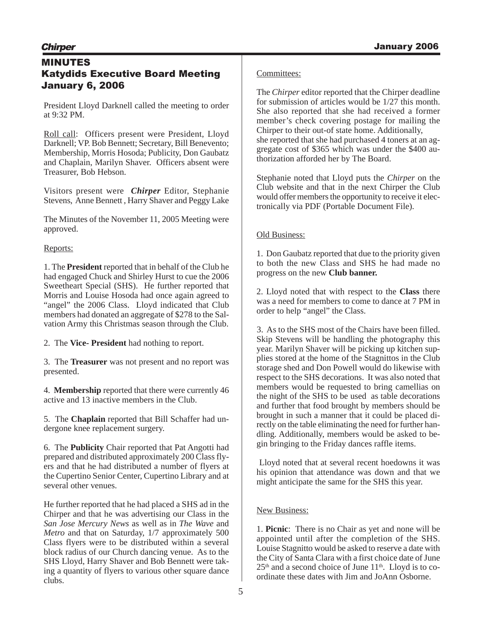# MINUTES Katydids Executive Board Meeting January 6, 2006

President Lloyd Darknell called the meeting to order at 9:32 PM.

Roll call: Officers present were President, Lloyd Darknell; VP. Bob Bennett; Secretary, Bill Benevento; Membership, Morris Hosoda; Publicity, Don Gaubatz and Chaplain, Marilyn Shaver. Officers absent were Treasurer, Bob Hebson.

Visitors present were *Chirper* Editor, Stephanie Stevens, Anne Bennett , Harry Shaver and Peggy Lake

The Minutes of the November 11, 2005 Meeting were approved.

# Reports:

1. The **President** reported that in behalf of the Club he had engaged Chuck and Shirley Hurst to cue the 2006 Sweetheart Special (SHS). He further reported that Morris and Louise Hosoda had once again agreed to "angel" the 2006 Class. Lloyd indicated that Club members had donated an aggregate of \$278 to the Salvation Army this Christmas season through the Club.

2. The **Vice- President** had nothing to report.

3. The **Treasurer** was not present and no report was presented.

4. **Membership** reported that there were currently 46 active and 13 inactive members in the Club.

5. The **Chaplain** reported that Bill Schaffer had undergone knee replacement surgery.

6. The **Publicity** Chair reported that Pat Angotti had prepared and distributed approximately 200 Class flyers and that he had distributed a number of flyers at the Cupertino Senior Center, Cupertino Library and at several other venues.

He further reported that he had placed a SHS ad in the Chirper and that he was advertising our Class in the *San Jose Mercury News* as well as in *The Wave* and *Metro* and that on Saturday, 1/7 approximately 500 Class flyers were to be distributed within a several block radius of our Church dancing venue. As to the SHS Lloyd, Harry Shaver and Bob Bennett were taking a quantity of flyers to various other square dance clubs.

# Committees:

The *Chirper* editor reported that the Chirper deadline for submission of articles would be 1/27 this month. She also reported that she had received a former member's check covering postage for mailing the Chirper to their out-of state home. Additionally, she reported that she had purchased 4 toners at an aggregate cost of \$365 which was under the \$400 authorization afforded her by The Board.

Stephanie noted that Lloyd puts the *Chirper* on the Club website and that in the next Chirper the Club would offer members the opportunity to receive it electronically via PDF (Portable Document File).

# Old Business:

1. Don Gaubatz reported that due to the priority given to both the new Class and SHS he had made no progress on the new **Club banner.**

2. Lloyd noted that with respect to the **Class** there was a need for members to come to dance at 7 PM in order to help "angel" the Class.

3. As to the SHS most of the Chairs have been filled. Skip Stevens will be handling the photography this year. Marilyn Shaver will be picking up kitchen supplies stored at the home of the Stagnittos in the Club storage shed and Don Powell would do likewise with respect to the SHS decorations. It was also noted that members would be requested to bring camellias on the night of the SHS to be used as table decorations and further that food brought by members should be brought in such a manner that it could be placed directly on the table eliminating the need for further handling. Additionally, members would be asked to begin bringing to the Friday dances raffle items.

Lloyd noted that at several recent hoedowns it was his opinion that attendance was down and that we might anticipate the same for the SHS this year.

# New Business:

1. **Picnic**: There is no Chair as yet and none will be appointed until after the completion of the SHS. Louise Stagnitto would be asked to reserve a date with the City of Santa Clara with a first choice date of June  $25<sup>th</sup>$  and a second choice of June  $11<sup>th</sup>$ . Lloyd is to coordinate these dates with Jim and JoAnn Osborne.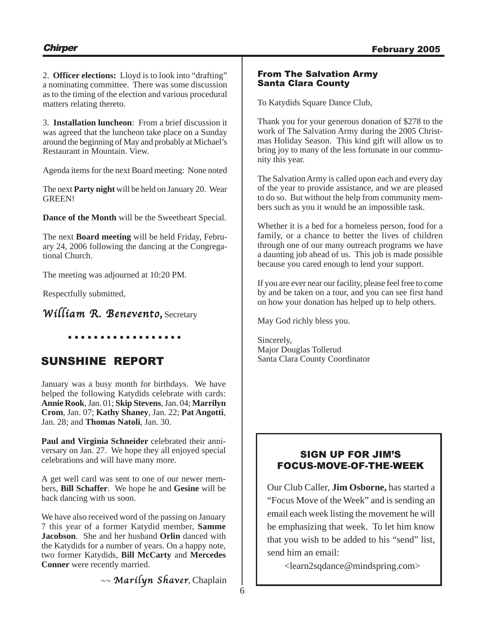2. **Officer elections:** Lloyd is to look into "drafting" a nominating committee. There was some discussion as to the timing of the election and various procedural matters relating thereto.

3. **Installation luncheon**: From a brief discussion it was agreed that the luncheon take place on a Sunday around the beginning of May and probably at Michael's Restaurant in Mountain. View.

Agenda items for the next Board meeting: None noted

The next **Party night** will be held on January 20. Wear GREEN!

**Dance of the Month** will be the Sweetheart Special.

The next **Board meeting** will be held Friday, February 24, 2006 following the dancing at the Congregational Church.

The meeting was adjourned at 10:20 PM.

Respectfully submitted,

**William R. Benevento,** Secretary

○○○○○○○○○ ○○○○○○○○○

# SUNSHINE REPORT

January was a busy month for birthdays. We have helped the following Katydids celebrate with cards: **Annie Rook**, Jan. 01; **Skip Stevens**, Jan. 04; **Marrilyn Crom**, Jan. 07; **Kathy Shaney**, Jan. 22; **Pat Angotti**, Jan. 28; and **Thomas Natoli**, Jan. 30.

**Paul and Virginia Schneider** celebrated their anniversary on Jan. 27. We hope they all enjoyed special celebrations and will have many more.

A get well card was sent to one of our newer members, **Bill Schaffer**. We hope he and **Gesine** will be back dancing with us soon.

We have also received word of the passing on January 7 this year of a former Katydid member, **Samme Jacobson**. She and her husband **Orlin** danced with the Katydids for a number of years. On a happy note, two former Katydids, **Bill McCarty** and **Mercedes Conner** were recently married.

 $\sim$  Marilyn Shaver, Chaplain

# From The Salvation Army Santa Clara County

To Katydids Square Dance Club,

Thank you for your generous donation of \$278 to the work of The Salvation Army during the 2005 Christmas Holiday Season. This kind gift will allow us to bring joy to many of the less fortunate in our community this year.

The Salvation Army is called upon each and every day of the year to provide assistance, and we are pleased to do so. But without the help from community members such as you it would be an impossible task.

Whether it is a bed for a homeless person, food for a family, or a chance to better the lives of children through one of our many outreach programs we have a daunting job ahead of us. This job is made possible because you cared enough to lend your support.

If you are ever near our facility, please feel free to come by and be taken on a tour, and you can see first hand on how your donation has helped up to help others.

May God richly bless you.

Sincerely, Major Douglas Tollerud Santa Clara County Coordinator

# SIGN UP FOR JIM'S FOCUS-MOVE-OF-THE-WEEK

Our Club Caller, **Jim Osborne,** has started a "Focus Move of the Week" and is sending an email each week listing the movement he will be emphasizing that week. To let him know that you wish to be added to his "send" list, send him an email:

<learn2sqdance@mindspring.com>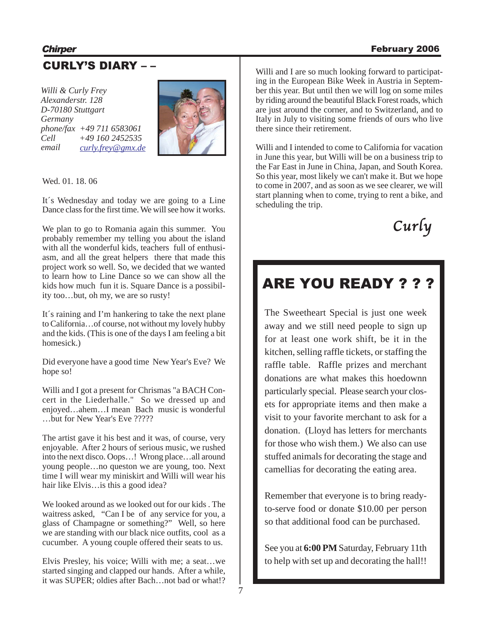# **Chirper** February 2006

# CURLY'S DIARY – –

*Willi & Curly Frey Alexanderstr. 128 D-70180 Stuttgart Germany phone/fax +49 711 6583061 Cell +49 160 2452535 email curly.frey@gmx.de*



Wed. 01. 18. 06

It´s Wednesday and today we are going to a Line Dance class for the first time. We will see how it works.

We plan to go to Romania again this summer. You probably remember my telling you about the island with all the wonderful kids, teachers full of enthusiasm, and all the great helpers there that made this project work so well. So, we decided that we wanted to learn how to Line Dance so we can show all the kids how much fun it is. Square Dance is a possibility too…but, oh my, we are so rusty!

It´s raining and I'm hankering to take the next plane to California…of course, not without my lovely hubby and the kids. (This is one of the days I am feeling a bit homesick.)

Did everyone have a good time New Year's Eve? We hope so!

Willi and I got a present for Chrismas "a BACH Concert in the Liederhalle." So we dressed up and enjoyed…ahem…I mean Bach music is wonderful …but for New Year's Eve ?????

The artist gave it his best and it was, of course, very enjoyable. After 2 hours of serious music, we rushed into the next disco. Oops…! Wrong place…all around young people…no queston we are young, too. Next time I will wear my miniskirt and Willi will wear his hair like Elvis…is this a good idea?

We looked around as we looked out for our kids . The waitress asked, "Can I be of any service for you, a glass of Champagne or something?" Well, so here we are standing with our black nice outfits, cool as a cucumber. A young couple offered their seats to us.

Elvis Presley, his voice; Willi with me; a seat…we started singing and clapped our hands. After a while, it was SUPER; oldies after Bach…not bad or what!?

Willi and I are so much looking forward to participating in the European Bike Week in Austria in September this year. But until then we will log on some miles by riding around the beautiful Black Forest roads, which are just around the corner, and to Switzerland, and to Italy in July to visiting some friends of ours who live there since their retirement.

Willi and I intended to come to California for vacation in June this year, but Willi will be on a business trip to the Far East in June in China, Japan, and South Korea. So this year, most likely we can't make it. But we hope to come in 2007, and as soon as we see clearer, we will start planning when to come, trying to rent a bike, and scheduling the trip.



# ARE YOU READY ? ? ?

The Sweetheart Special is just one week away and we still need people to sign up for at least one work shift, be it in the kitchen, selling raffle tickets, or staffing the raffle table. Raffle prizes and merchant donations are what makes this hoedownn particularly special. Please search your closets for appropriate items and then make a visit to your favorite merchant to ask for a donation. (Lloyd has letters for merchants for those who wish them.) We also can use stuffed animals for decorating the stage and camellias for decorating the eating area.

Remember that everyone is to bring readyto-serve food or donate \$10.00 per person so that additional food can be purchased.

See you at **6:00 PM** Saturday, February 11th to help with set up and decorating the hall!!